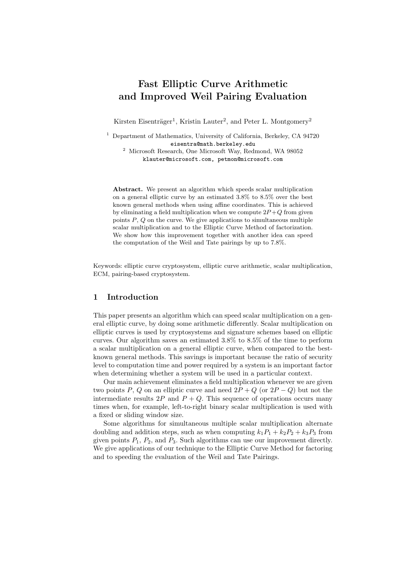# Fast Elliptic Curve Arithmetic and Improved Weil Pairing Evaluation

Kirsten Eisenträger<sup>1</sup>, Kristin Lauter<sup>2</sup>, and Peter L. Montgomery<sup>2</sup>

 $^{\rm 2}$  Microsoft Research, One Microsoft Way, Redmond, WA 98052 klauter@microsoft.com, petmon@microsoft.com

Abstract. We present an algorithm which speeds scalar multiplication on a general elliptic curve by an estimated 3.8% to 8.5% over the best known general methods when using affine coordinates. This is achieved by eliminating a field multiplication when we compute  $2P+Q$  from given points  $P$ ,  $Q$  on the curve. We give applications to simultaneous multiple scalar multiplication and to the Elliptic Curve Method of factorization. We show how this improvement together with another idea can speed the computation of the Weil and Tate pairings by up to 7.8%.

Keywords: elliptic curve cryptosystem, elliptic curve arithmetic, scalar multiplication, ECM, pairing-based cryptosystem.

# 1 Introduction

This paper presents an algorithm which can speed scalar multiplication on a general elliptic curve, by doing some arithmetic differently. Scalar multiplication on elliptic curves is used by cryptosystems and signature schemes based on elliptic curves. Our algorithm saves an estimated 3.8% to 8.5% of the time to perform a scalar multiplication on a general elliptic curve, when compared to the bestknown general methods. This savings is important because the ratio of security level to computation time and power required by a system is an important factor when determining whether a system will be used in a particular context.

Our main achievement eliminates a field multiplication whenever we are given two points P, Q on an elliptic curve and need  $2P + Q$  (or  $2P - Q$ ) but not the intermediate results 2P and  $P + Q$ . This sequence of operations occurs many times when, for example, left-to-right binary scalar multiplication is used with a fixed or sliding window size.

Some algorithms for simultaneous multiple scalar multiplication alternate doubling and addition steps, such as when computing  $k_1P_1 + k_2P_2 + k_3P_3$  from given points  $P_1$ ,  $P_2$ , and  $P_3$ . Such algorithms can use our improvement directly. We give applications of our technique to the Elliptic Curve Method for factoring and to speeding the evaluation of the Weil and Tate Pairings.

<sup>&</sup>lt;sup>1</sup> Department of Mathematics, University of California, Berkeley, CA 94720 eisentra@math.berkeley.edu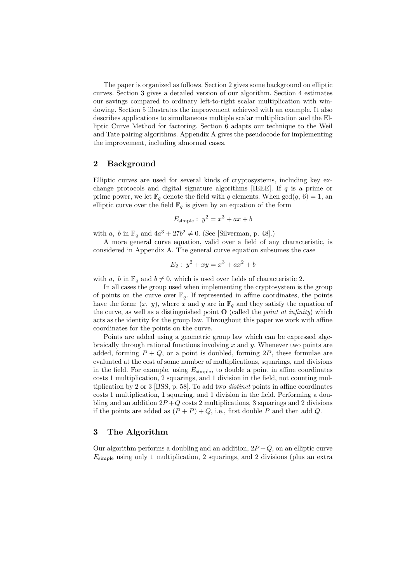The paper is organized as follows. Section 2 gives some background on elliptic curves. Section 3 gives a detailed version of our algorithm. Section 4 estimates our savings compared to ordinary left-to-right scalar multiplication with windowing. Section 5 illustrates the improvement achieved with an example. It also describes applications to simultaneous multiple scalar multiplication and the Elliptic Curve Method for factoring. Section 6 adapts our technique to the Weil and Tate pairing algorithms. Appendix A gives the pseudocode for implementing the improvement, including abnormal cases.

# 2 Background

Elliptic curves are used for several kinds of cryptosystems, including key exchange protocols and digital signature algorithms [IEEE]. If  $q$  is a prime or prime power, we let  $\mathbb{F}_q$  denote the field with q elements. When  $gcd(q, 6) = 1$ , an elliptic curve over the field  $\mathbb{F}_q$  is given by an equation of the form

$$
E_{\text{simple}}: y^2 = x^3 + ax + b
$$

with a, b in  $\mathbb{F}_q$  and  $4a^3 + 27b^2 \neq 0$ . (See [Silverman, p. 48].)

A more general curve equation, valid over a field of any characteristic, is considered in Appendix A. The general curve equation subsumes the case

$$
E_2: y^2 + xy = x^3 + ax^2 + b
$$

with a, b in  $\mathbb{F}_q$  and  $b \neq 0$ , which is used over fields of characteristic 2.

In all cases the group used when implementing the cryptosystem is the group of points on the curve over  $\mathbb{F}_q$ . If represented in affine coordinates, the points have the form:  $(x, y)$ , where x and y are in  $\mathbb{F}_q$  and they satisfy the equation of the curve, as well as a distinguished point  $\mathbf O$  (called the *point at infinity*) which acts as the identity for the group law. Throughout this paper we work with affine coordinates for the points on the curve.

Points are added using a geometric group law which can be expressed algebraically through rational functions involving  $x$  and  $y$ . Whenever two points are added, forming  $P + Q$ , or a point is doubled, forming 2P, these formulae are evaluated at the cost of some number of multiplications, squarings, and divisions in the field. For example, using  $E_{\text{simple}}$ , to double a point in affine coordinates costs 1 multiplication, 2 squarings, and 1 division in the field, not counting multiplication by 2 or 3 [BSS, p. 58]. To add two *distinct* points in affine coordinates costs 1 multiplication, 1 squaring, and 1 division in the field. Performing a doubling and an addition  $2P+Q$  costs 2 multiplications, 3 squarings and 2 divisions if the points are added as  $(P + P) + Q$ , i.e., first double P and then add Q.

# 3 The Algorithm

Our algorithm performs a doubling and an addition,  $2P+Q$ , on an elliptic curve  $E_{\text{simple}}$  using only 1 multiplication, 2 squarings, and 2 divisions (plus an extra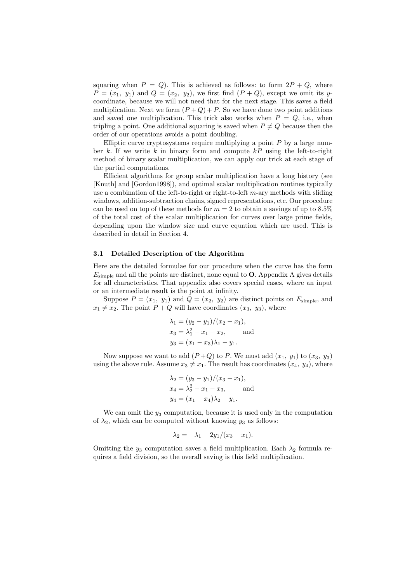squaring when  $P = Q$ . This is achieved as follows: to form  $2P + Q$ , where  $P = (x_1, y_1)$  and  $Q = (x_2, y_2)$ , we first find  $(P + Q)$ , except we omit its ycoordinate, because we will not need that for the next stage. This saves a field multiplication. Next we form  $(P+Q)+P$ . So we have done two point additions and saved one multiplication. This trick also works when  $P = Q$ , i.e., when tripling a point. One additional squaring is saved when  $P \neq Q$  because then the order of our operations avoids a point doubling.

Elliptic curve cryptosystems require multiplying a point  $P$  by a large number k. If we write k in binary form and compute  $kP$  using the left-to-right method of binary scalar multiplication, we can apply our trick at each stage of the partial computations.

Efficient algorithms for group scalar multiplication have a long history (see [Knuth] and [Gordon1998]), and optimal scalar multiplication routines typically use a combination of the left-to-right or right-to-left  $m$ -ary methods with sliding windows, addition-subtraction chains, signed representations, etc. Our procedure can be used on top of these methods for  $m = 2$  to obtain a savings of up to 8.5% of the total cost of the scalar multiplication for curves over large prime fields, depending upon the window size and curve equation which are used. This is described in detail in Section 4.

#### 3.1 Detailed Description of the Algorithm

Here are the detailed formulae for our procedure when the curve has the form  $E_{\text{simple}}$  and all the points are distinct, none equal to **O**. Appendix A gives details for all characteristics. That appendix also covers special cases, where an input or an intermediate result is the point at infinity.

Suppose  $P = (x_1, y_1)$  and  $Q = (x_2, y_2)$  are distinct points on  $E_{\text{simple}}$ , and  $x_1 \neq x_2$ . The point  $P + Q$  will have coordinates  $(x_3, y_3)$ , where

$$
\lambda_1 = (y_2 - y_1)/(x_2 - x_1),
$$
  
\n
$$
x_3 = \lambda_1^2 - x_1 - x_2,
$$
 and  
\n
$$
y_3 = (x_1 - x_3)\lambda_1 - y_1.
$$

Now suppose we want to add  $(P+Q)$  to P. We must add  $(x_1, y_1)$  to  $(x_3, y_3)$ using the above rule. Assume  $x_3 \neq x_1$ . The result has coordinates  $(x_4, y_4)$ , where

$$
\lambda_2 = (y_3 - y_1)/(x_3 - x_1),
$$
  
\n
$$
x_4 = \lambda_2^2 - x_1 - x_3,
$$
 and  
\n
$$
y_4 = (x_1 - x_4)\lambda_2 - y_1.
$$

We can omit the  $y_3$  computation, because it is used only in the computation of  $\lambda_2$ , which can be computed without knowing  $y_3$  as follows:

$$
\lambda_2 = -\lambda_1 - 2y_1/(x_3 - x_1).
$$

Omitting the  $y_3$  computation saves a field multiplication. Each  $\lambda_2$  formula requires a field division, so the overall saving is this field multiplication.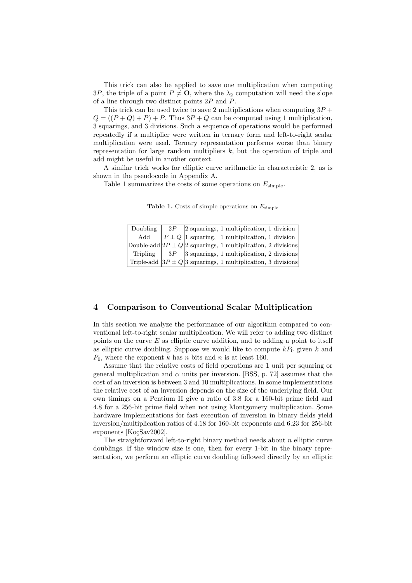This trick can also be applied to save one multiplication when computing 3P, the triple of a point  $P \neq \mathbf{O}$ , where the  $\lambda_2$  computation will need the slope of a line through two distinct points 2P and P.

This trick can be used twice to save 2 multiplications when computing  $3P +$  $Q = ((P + Q) + P) + P$ . Thus  $3P + Q$  can be computed using 1 multiplication. 3 squarings, and 3 divisions. Such a sequence of operations would be performed repeatedly if a multiplier were written in ternary form and left-to-right scalar multiplication were used. Ternary representation performs worse than binary representation for large random multipliers  $k$ , but the operation of triple and add might be useful in another context.

A similar trick works for elliptic curve arithmetic in characteristic 2, as is shown in the pseudocode in Appendix A.

Table 1 summarizes the costs of some operations on  $E_{\text{simple}}$ .

**Table 1.** Costs of simple operations on  $E_{\text{simple}}$ 

| Doubling | $2P$ 2 squarings, 1 multiplication, 1 division                    |
|----------|-------------------------------------------------------------------|
| Add      | $P \pm Q$ 1 squaring, 1 multiplication, 1 division                |
|          | Double-add $2P \pm Q/2$ squarings, 1 multiplication, 2 divisions  |
| Tripling | $3P$   3 squarings, 1 multiplication, 2 divisions                 |
|          | Triple-add $ 3P \pm Q 3$ squarings, 1 multiplication, 3 divisions |

### 4 Comparison to Conventional Scalar Multiplication

In this section we analyze the performance of our algorithm compared to conventional left-to-right scalar multiplication. We will refer to adding two distinct points on the curve  $E$  as elliptic curve addition, and to adding a point to itself as elliptic curve doubling. Suppose we would like to compute  $kP_0$  given k and  $P_0$ , where the exponent k has n bits and n is at least 160.

Assume that the relative costs of field operations are 1 unit per squaring or general multiplication and  $\alpha$  units per inversion. [BSS, p. 72] assumes that the cost of an inversion is between 3 and 10 multiplications. In some implementations the relative cost of an inversion depends on the size of the underlying field. Our own timings on a Pentium II give a ratio of 3.8 for a 160-bit prime field and 4.8 for a 256-bit prime field when not using Montgomery multiplication. Some hardware implementations for fast execution of inversion in binary fields yield inversion/multiplication ratios of 4.18 for 160-bit exponents and 6.23 for 256-bit exponents [KoçSav2002].

The straightforward left-to-right binary method needs about  $n$  elliptic curve doublings. If the window size is one, then for every 1-bit in the binary representation, we perform an elliptic curve doubling followed directly by an elliptic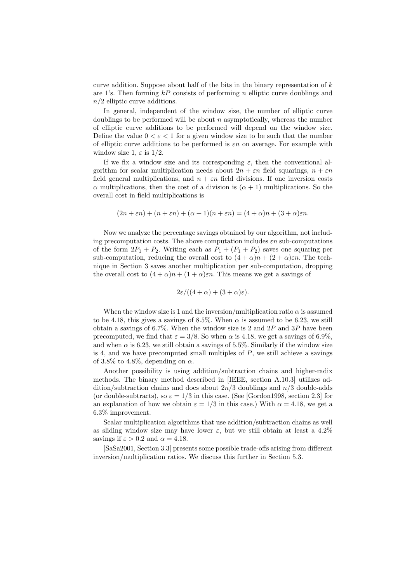curve addition. Suppose about half of the bits in the binary representation of  $k$ are 1's. Then forming  $kP$  consists of performing n elliptic curve doublings and  $n/2$  elliptic curve additions.

In general, independent of the window size, the number of elliptic curve doublings to be performed will be about  $n$  asymptotically, whereas the number of elliptic curve additions to be performed will depend on the window size. Define the value  $0 < \varepsilon < 1$  for a given window size to be such that the number of elliptic curve additions to be performed is  $\varepsilon n$  on average. For example with window size 1,  $\varepsilon$  is 1/2.

If we fix a window size and its corresponding  $\varepsilon$ , then the conventional algorithm for scalar multiplication needs about  $2n + \varepsilon n$  field squarings,  $n + \varepsilon n$ field general multiplications, and  $n + \varepsilon n$  field divisions. If one inversion costs α multiplications, then the cost of a division is  $(α + 1)$  multiplications. So the overall cost in field multiplications is

$$
(2n + \varepsilon n) + (n + \varepsilon n) + (\alpha + 1)(n + \varepsilon n) = (4 + \alpha)n + (3 + \alpha)\varepsilon n.
$$

Now we analyze the percentage savings obtained by our algorithm, not including precomputation costs. The above computation includes  $\varepsilon n$  sub-computations of the form  $2P_1 + P_2$ . Writing each as  $P_1 + (P_1 + P_2)$  saves one squaring per sub-computation, reducing the overall cost to  $(4 + \alpha)n + (2 + \alpha)\varepsilon n$ . The technique in Section 3 saves another multiplication per sub-computation, dropping the overall cost to  $(4+\alpha)n + (1+\alpha)\varepsilon n$ . This means we get a savings of

$$
2\varepsilon/((4+\alpha)+(3+\alpha)\varepsilon).
$$

When the window size is 1 and the inversion/multiplication ratio  $\alpha$  is assumed to be 4.18, this gives a savings of 8.5%. When  $\alpha$  is assumed to be 6.23, we still obtain a savings of 6.7%. When the window size is 2 and  $2P$  and  $3P$  have been precomputed, we find that  $\varepsilon = 3/8$ . So when  $\alpha$  is 4.18, we get a savings of 6.9%, and when  $\alpha$  is 6.23, we still obtain a savings of 5.5%. Similarly if the window size is 4, and we have precomputed small multiples of  $P$ , we still achieve a savings of 3.8% to 4.8%, depending on  $\alpha$ .

Another possibility is using addition/subtraction chains and higher-radix methods. The binary method described in [IEEE, section A.10.3] utilizes addition/subtraction chains and does about  $2n/3$  doublings and  $n/3$  double-adds (or double-subtracts), so  $\varepsilon = 1/3$  in this case. (See [Gordon1998, section 2.3] for an explanation of how we obtain  $\varepsilon = 1/3$  in this case.) With  $\alpha = 4.18$ , we get a 6.3% improvement.

Scalar multiplication algorithms that use addition/subtraction chains as well as sliding window size may have lower  $\varepsilon$ , but we still obtain at least a 4.2% savings if  $\varepsilon > 0.2$  and  $\alpha = 4.18$ .

[SaSa2001, Section 3.3] presents some possible trade-offs arising from different inversion/multiplication ratios. We discuss this further in Section 5.3.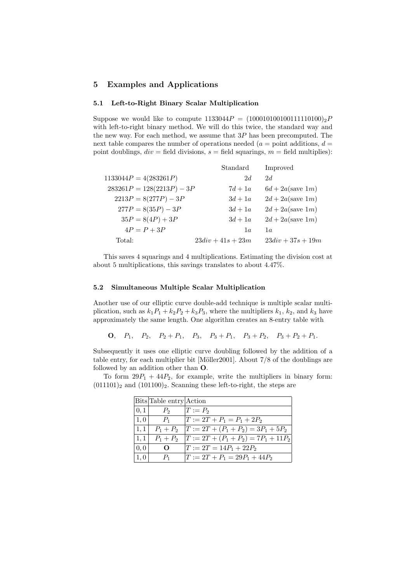# 5 Examples and Applications

### 5.1 Left-to-Right Binary Scalar Multiplication

Suppose we would like to compute  $1133044P = (10001010010111110100)_2P$ with left-to-right binary method. We will do this twice, the standard way and the new way. For each method, we assume that  $3P$  has been precomputed. The next table compares the number of operations needed ( $a =$  point additions,  $d =$ point doublings,  $div = \text{field divisions}, s = \text{field squarings}, m = \text{field multiplies}.$ 

|                             | Standard            | Improved                     |
|-----------------------------|---------------------|------------------------------|
| $1133044P = 4(283261P)$     | 2d                  | 2d                           |
| $283261P = 128(2213P) - 3P$ | $7d+1a$             | $6d + 2a$ (save 1 <i>m</i> ) |
| $2213P = 8(277P) - 3P$      | $3d+1a$             | $2d + 2a$ (save 1 <i>m</i> ) |
| $277P = 8(35P) - 3P$        | $3d+1a$             | $2d + 2a$ (save 1 <i>m</i> ) |
| $35P = 8(4P) + 3P$          | $3d+1a$             | $2d + 2a$ (save 1 <i>m</i> ) |
| $4P = P + 3P$               | 1a                  | 1a                           |
| Total:                      | $23div + 41s + 23m$ | $23div + 37s + 19m$          |

This saves 4 squarings and 4 multiplications. Estimating the division cost at about 5 multiplications, this savings translates to about 4.47%.

#### 5.2 Simultaneous Multiple Scalar Multiplication

Another use of our elliptic curve double-add technique is multiple scalar multiplication, such as  $k_1P_1 + k_2P_2 + k_3P_3$ , where the multipliers  $k_1$ ,  $k_2$ , and  $k_3$  have approximately the same length. One algorithm creates an 8-entry table with

**O**,  $P_1$ ,  $P_2$ ,  $P_2 + P_1$ ,  $P_3$ ,  $P_3 + P_1$ ,  $P_3 + P_2$ ,  $P_3 + P_2 + P_1$ .

Subsequently it uses one elliptic curve doubling followed by the addition of a table entry, for each multiplier bit [Möller2001]. About  $7/8$  of the doublings are followed by an addition other than O.

To form  $29P_1 + 44P_2$ , for example, write the multipliers in binary form:  $(011101)_2$  and  $(101100)_2$ . Scanning these left-to-right, the steps are

|      | Bits Table entry Action |                               |
|------|-------------------------|-------------------------------|
| 0,1  | P <sub>2</sub>          | $T := P_2$                    |
| 1,0  | $P_1$                   | $T := 2T + P_1 = P_1 + 2P_2$  |
| 1,1  | $P_1 + P_2$             | $ T:=2T+(P_1+P_2)=3P_1+5P_2$  |
| 1, 1 | $P_1 + P_2$             | $ T:=2T+(P_1+P_2)=7P_1+11P_2$ |
| 0,0  | $\mathbf{\Omega}$       | $T := 2T = 14P_1 + 22P_2$     |
| 1,0  | $P_1$                   | $ T:=2T+P_1=29P_1+44P_2$      |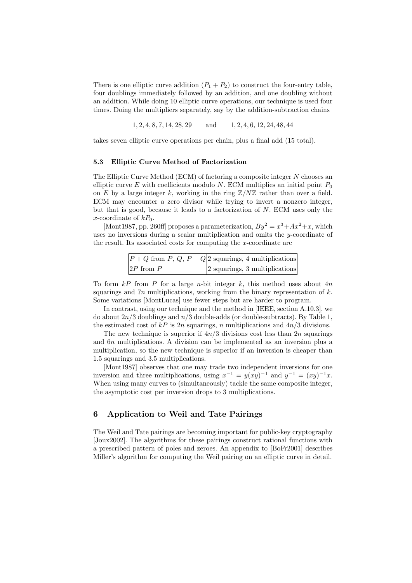There is one elliptic curve addition  $(P_1 + P_2)$  to construct the four-entry table, four doublings immediately followed by an addition, and one doubling without an addition. While doing 10 elliptic curve operations, our technique is used four times. Doing the multipliers separately, say by the addition-subtraction chains

1, 2, 4, 8, 7, 14, 28, 29 and 1, 2, 4, 6, 12, 24, 48, 44

takes seven elliptic curve operations per chain, plus a final add (15 total).

#### 5.3 Elliptic Curve Method of Factorization

The Elliptic Curve Method (ECM) of factoring a composite integer N chooses an elliptic curve E with coefficients modulo N. ECM multiplies an initial point  $P_0$ on E by a large integer k, working in the ring  $\mathbb{Z}/N\mathbb{Z}$  rather than over a field. ECM may encounter a zero divisor while trying to invert a nonzero integer, but that is good, because it leads to a factorization of  $N$ . ECM uses only the x-coordinate of  $kP_0$ .

[Mont1987, pp. 260ff] proposes a parameterization,  $By^2 = x^3 + Ax^2 + x$ , which uses no inversions during a scalar multiplication and omits the  $y$ -coordinate of the result. Its associated costs for computing the x-coordinate are

|                | $ P+Q \text{ from } P, Q, P-Q 2 \text{ squarings}, 4 \text{ multiplications} $ |
|----------------|--------------------------------------------------------------------------------|
| $ 2P$ from $P$ | 2 squarings, 3 multiplications                                                 |

To form  $kP$  from P for a large n-bit integer k, this method uses about  $4n$ squarings and  $7n$  multiplications, working from the binary representation of  $k$ . Some variations [MontLucas] use fewer steps but are harder to program.

In contrast, using our technique and the method in [IEEE, section A.10.3], we do about  $2n/3$  doublings and  $n/3$  double-adds (or double-subtracts). By Table 1, the estimated cost of  $kP$  is 2n squarings, n multiplications and  $4n/3$  divisions.

The new technique is superior if  $4n/3$  divisions cost less than  $2n$  squarings and 6n multiplications. A division can be implemented as an inversion plus a multiplication, so the new technique is superior if an inversion is cheaper than 1.5 squarings and 3.5 multiplications.

[Mont1987] observes that one may trade two independent inversions for one inversion and three multiplications, using  $x^{-1} = y(xy)^{-1}$  and  $y^{-1} = (xy)^{-1}x$ . When using many curves to (simultaneously) tackle the same composite integer, the asymptotic cost per inversion drops to 3 multiplications.

# 6 Application to Weil and Tate Pairings

The Weil and Tate pairings are becoming important for public-key cryptography [Joux2002]. The algorithms for these pairings construct rational functions with a prescribed pattern of poles and zeroes. An appendix to [BoFr2001] describes Miller's algorithm for computing the Weil pairing on an elliptic curve in detail.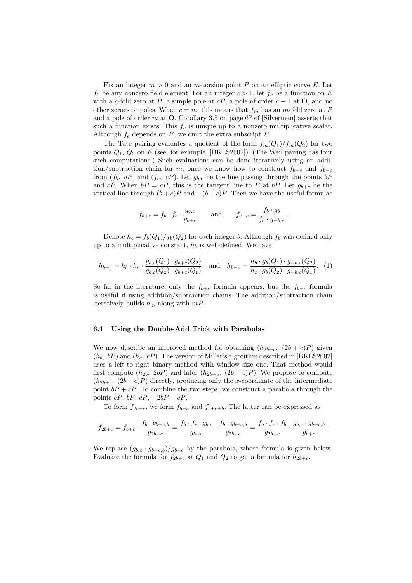Fix an integer  $m > 0$  and an m-torsion point P on an elliptic curve E. Let  $f_1$  be any nonzero field element. For an integer  $c > 1$ , let  $f_c$  be a function on E with a c-fold zero at P, a simple pole at  $cP$ , a pole of order  $c - 1$  at O, and no other zeroes or poles. When  $c = m$ , this means that  $f_m$  has an m-fold zero at P and a pole of order m at  $\mathbf O$ . Corollary 3.5 on page 67 of [Silverman] asserts that such a function exists. This  $f_c$  is unique up to a nonzero multiplicative scalar. Although  $f_c$  depends on  $P$ , we omit the extra subscript  $P$ .

The Tate pairing evaluates a quotient of the form  $f_m(Q_1)/f_m(Q_2)$  for two points  $Q_1, Q_2$  on E (see, for example, [BKLS2002]). (The Weil pairing has four such computations.) Such evaluations can be done iteratively using an addition/subtraction chain for m, once we know how to construct  $f_{b+c}$  and  $f_{b-c}$ from  $(f_b, bP)$  and  $(f_c, cP)$ . Let  $g_{b,c}$  be the line passing through the points  $bP$ and cP. When  $bP = cP$ , this is the tangent line to E at  $bP$ . Let  $g_{b+c}$  be the vertical line through  $(b + c)P$  and  $-(b + c)P$ . Then we have the useful formulae

$$
f_{b+c} = f_b \cdot f_c \cdot \frac{g_{b,c}}{g_{b+c}} \quad \text{and} \quad f_{b-c} = \frac{f_b \cdot g_b}{f_c \cdot g_{-b,c}}
$$

.

Denote  $h_b = f_b(Q_1)/f_b(Q_2)$  for each integer b. Although  $f_b$  was defined only up to a multiplicative constant,  $h_b$  is well-defined. We have

$$
h_{b+c} = h_b \cdot h_c \cdot \frac{g_{b,c}(Q_1) \cdot g_{b+c}(Q_2)}{g_{b,c}(Q_2) \cdot g_{b+c}(Q_1)} \quad \text{and} \quad h_{b-c} = \frac{h_b \cdot g_b(Q_1) \cdot g_{-b,c}(Q_2)}{h_c \cdot g_b(Q_2) \cdot g_{-b,c}(Q_1)}.
$$
 (1)

So far in the literature, only the  $f_{b+c}$  formula appears, but the  $f_{b-c}$  formula is useful if using addition/subtraction chains. The addition/subtraction chain iteratively builds  $h_m$  along with  $mP$ .

#### 6.1 Using the Double-Add Trick with Parabolas

We now describe an improved method for obtaining  $(h_{2b+c}, (2b+c)P)$  given  $(h_b, bP)$  and  $(h_c, cP)$ . The version of Miller's algorithm described in [BKLS2002] uses a left-to-right binary method with window size one. That method would first compute  $(h_{2b}, 2bP)$  and later  $(h_{2b+c}, (2b+c)P)$ . We propose to compute  $(h_{2b+c}, (2b+c)P)$  directly, producing only the x-coordinate of the intermediate point  $bP + cP$ . To combine the two steps, we construct a parabola through the points  $bP$ ,  $bP$ ,  $cP$ ,  $-2bP$  –  $cP$ .

To form  $f_{2b+c}$ , we form  $f_{b+c}$  and  $f_{b+c+b}$ . The latter can be expressed as

$$
f_{2b+c} = f_{b+c} \cdot \frac{f_b \cdot g_{b+c,b}}{g_{2b+c}} = \frac{f_b \cdot f_c \cdot g_{b,c}}{g_{b+c}} \cdot \frac{f_b \cdot g_{b+c,b}}{g_{2b+c}} = \frac{f_b \cdot f_c \cdot f_b}{g_{2b+c}} \cdot \frac{g_{b,c} \cdot g_{b+c,b}}{g_{b+c}}.
$$

We replace  $(g_{b,c} \cdot g_{b+c,b})/g_{b+c}$  by the parabola, whose formula is given below. Evaluate the formula for  $f_{2b+c}$  at  $Q_1$  and  $Q_2$  to get a formula for  $h_{2b+c}$ .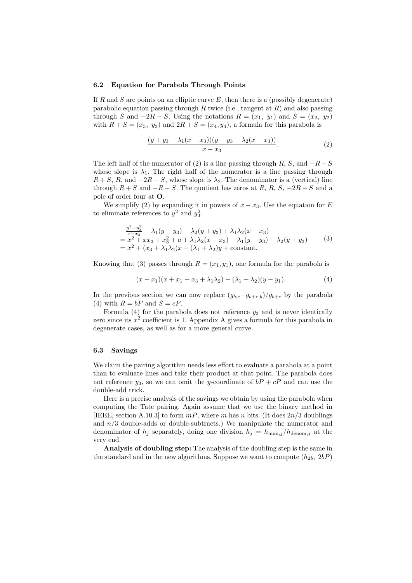#### 6.2 Equation for Parabola Through Points

If R and S are points on an elliptic curve  $E$ , then there is a (possibly degenerate) parabolic equation passing through R twice (i.e., tangent at  $R$ ) and also passing through S and  $-2R - S$ . Using the notations  $R = (x_1, y_1)$  and  $S = (x_2, y_2)$ with  $R + S = (x_3, y_3)$  and  $2R + S = (x_4, y_4)$ , a formula for this parabola is

$$
\frac{(y+y_3-\lambda_1(x-x_3))(y-y_3-\lambda_2(x-x_3))}{x-x_3}.
$$
 (2)

The left half of the numerator of (2) is a line passing through R, S, and  $-R-S$ whose slope is  $\lambda_1$ . The right half of the numerator is a line passing through  $R + S$ , R, and  $-2R - S$ , whose slope is  $\lambda_2$ . The denominator is a (vertical) line through  $R + S$  and  $-R - S$ . The quotient has zeros at R, R, S,  $-2R - S$  and a pole of order four at O.

We simplify (2) by expanding it in powers of  $x - x_3$ . Use the equation for E to eliminate references to  $y^2$  and  $y_3^2$ .

$$
\frac{y^2 - y_3^2}{x - x_3} - \lambda_1(y - y_3) - \lambda_2(y + y_3) + \lambda_1\lambda_2(x - x_3) \n= x^2 + xx_3 + x_3^2 + a + \lambda_1\lambda_2(x - x_3) - \lambda_1(y - y_3) - \lambda_2(y + y_3) \n= x^2 + (x_3 + \lambda_1\lambda_2)x - (\lambda_1 + \lambda_2)y + \text{constant}.
$$
\n(3)

Knowing that (3) passes through  $R = (x_1, y_1)$ , one formula for the parabola is

$$
(x-x_1)(x+x_1+x_3+\lambda_1\lambda_2)-(\lambda_1+\lambda_2)(y-y_1). \hspace{1.5cm} (4)
$$

In the previous section we can now replace  $(g_{b,c} \cdot g_{b+c,b})/g_{b+c}$  by the parabola (4) with  $R = bP$  and  $S = cP$ .

Formula  $(4)$  for the parabola does not reference  $y_3$  and is never identically zero since its  $x^2$  coefficient is 1. Appendix A gives a formula for this parabola in degenerate cases, as well as for a more general curve.

#### 6.3 Savings

We claim the pairing algorithm needs less effort to evaluate a parabola at a point than to evaluate lines and take their product at that point. The parabola does not reference  $y_3$ , so we can omit the y-coordinate of  $bP + cP$  and can use the double-add trick.

Here is a precise analysis of the savings we obtain by using the parabola when computing the Tate pairing. Again assume that we use the binary method in [IEEE, section A.10.3] to form  $mP$ , where m has n bits. (It does  $2n/3$  doublings and  $n/3$  double-adds or double-subtracts.) We manipulate the numerator and denominator of  $h_j$  separately, doing one division  $h_j = h_{\text{num},j}/h_{\text{denom},j}$  at the very end.

Analysis of doubling step: The analysis of the doubling step is the same in the standard and in the new algorithms. Suppose we want to compute  $(h_{2b}, 2bP)$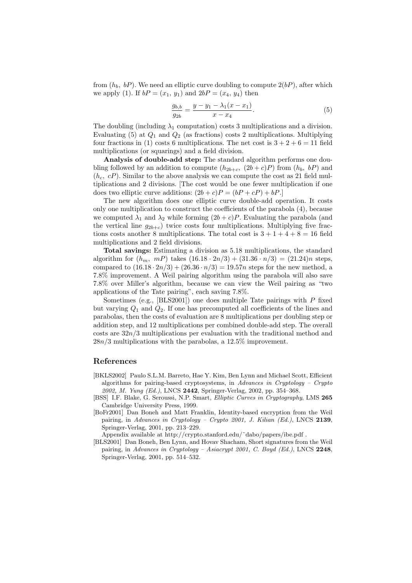from  $(h_b, bP)$ . We need an elliptic curve doubling to compute  $2(bP)$ , after which we apply (1). If  $bP = (x_1, y_1)$  and  $2bP = (x_4, y_4)$  then

$$
\frac{g_{b,b}}{g_{2b}} = \frac{y - y_1 - \lambda_1(x - x_1)}{x - x_4}.
$$
\n(5)

The doubling (including  $\lambda_1$  computation) costs 3 multiplications and a division. Evaluating  $(5)$  at  $Q_1$  and  $Q_2$  (as fractions) costs 2 multiplications. Multiplying four fractions in (1) costs 6 multiplications. The net cost is  $3 + 2 + 6 = 11$  field multiplications (or squarings) and a field division.

Analysis of double-add step: The standard algorithm performs one doubling followed by an addition to compute  $(h_{2b+c}, (2b+c)P)$  from  $(h_b, bP)$  and  $(h_c, cP)$ . Similar to the above analysis we can compute the cost as 21 field multiplications and 2 divisions. [The cost would be one fewer multiplication if one does two elliptic curve additions:  $(2b + c)P = (bP + cP) + bP$ .

The new algorithm does one elliptic curve double-add operation. It costs only one multiplication to construct the coefficients of the parabola (4), because we computed  $\lambda_1$  and  $\lambda_2$  while forming  $(2b + c)P$ . Evaluating the parabola (and the vertical line  $g_{2b+c}$ ) twice costs four multiplications. Multiplying five fractions costs another 8 multiplications. The total cost is  $3 + 1 + 4 + 8 = 16$  field multiplications and 2 field divisions.

Total savings: Estimating a division as 5.18 multiplications, the standard algorithm for  $(h_m, mP)$  takes  $(16.18 \cdot 2n/3) + (31.36 \cdot n/3) = (21.24)n$  steps, compared to  $(16.18 \cdot 2n/3) + (26.36 \cdot n/3) = 19.57n$  steps for the new method, a 7.8% improvement. A Weil pairing algorithm using the parabola will also save 7.8% over Miller's algorithm, because we can view the Weil pairing as "two applications of the Tate pairing", each saving 7.8%.

Sometimes (e.g.,  $[BLS2001]$ ) one does multiple Tate pairings with P fixed but varying  $Q_1$  and  $Q_2$ . If one has precomputed all coefficients of the lines and parabolas, then the costs of evaluation are 8 multiplications per doubling step or addition step, and 12 multiplications per combined double-add step. The overall costs are 32n/3 multiplications per evaluation with the traditional method and  $28n/3$  multiplications with the parabolas, a  $12.5\%$  improvement.

### References

- [BKLS2002] Paulo S.L.M. Barreto, Hae Y. Kim, Ben Lynn and Michael Scott, Efficient algorithms for pairing-based cryptosystems, in Advances in Cryptology – Crypto 2002, M. Yung (Ed.), LNCS 2442, Springer-Verlag, 2002, pp. 354–368.
- [BSS] I.F. Blake, G. Seroussi, N.P. Smart, Elliptic Curves in Cryptography, LMS 265 Cambridge University Press, 1999.
- [BoFr2001] Dan Boneh and Matt Franklin, Identity-based encryption from the Weil pairing, in Advances in Cryptology – Crypto 2001, J. Kilian (Ed.), LNCS 2139, Springer-Verlag, 2001, pp. 213–229.

Appendix available at http://crypto.stanford.edu/˜dabo/papers/ibe.pdf .

[BLS2001] Dan Boneh, Ben Lynn, and Hovav Shacham, Short signatures from the Weil pairing, in Advances in Cryptology - Asiacrypt 2001, C. Boyd (Ed.), LNCS 2248, Springer-Verlag, 2001, pp. 514–532.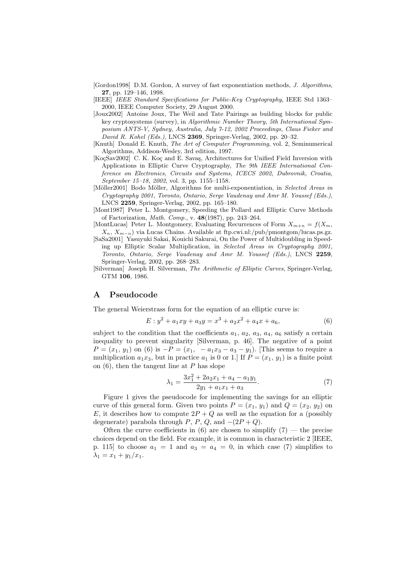- [Gordon1998] D.M. Gordon, A survey of fast exponentiation methods, J. Algorithms, 27, pp. 129–146, 1998.
- [IEEE] IEEE Standard Specifications for Public-Key Cryptography, IEEE Std 1363– 2000, IEEE Computer Society, 29 August 2000.
- [Joux2002] Antoine Joux, The Weil and Tate Pairings as building blocks for public key cryptosystems (survey), in Algorithmic Number Theory, 5th International Symposium ANTS-V, Sydney, Australia, July 7-12, 2002 Proceedings, Claus Fieker and David R. Kohel (Eds.), LNCS 2369, Springer-Verlag, 2002, pp. 20–32.
- [Knuth] Donald E. Knuth, The Art of Computer Programming, vol. 2, Seminumerical Algorithms, Addison-Wesley, 3rd edition, 1997.
- [KoçSav2002] C. K. Koç and E. Savaş, Architectures for Unified Field Inversion with Applications in Elliptic Curve Cryptography, The 9th IEEE International Conference on Electronics, Circuits and Systems, ICECS 2002, Dubrovnik, Croatia, September 15–18, 2002, vol. 3, pp. 1155–1158.
- [Möller2001] Bodo Möller, Algorithms for multi-exponentiation, in Selected Areas in Cryptography 2001, Toronto, Ontario, Serge Vaudenay and Amr M. Youssef (Eds.), LNCS 2259, Springer-Verlag, 2002, pp. 165–180.
- [Mont1987] Peter L. Montgomery, Speeding the Pollard and Elliptic Curve Methods of Factorization, Math. Comp., v. 48(1987), pp. 243–264.
- [MontLucas] Peter L. Montgomery, Evaluating Recurrences of Form  $X_{m+n} = f(X_m)$ ,  $X_n, X_{m-n}$ ) via Lucas Chains. Available at ftp.cwi.nl:/pub/pmontgom/lucas.ps.gz.
- [SaSa2001] Yasuyuki Sakai, Kouichi Sakurai, On the Power of Multidoubling in Speeding up Elliptic Scalar Multiplication, in Selected Areas in Cryptography 2001, Toronto, Ontario, Serge Vaudenay and Amr M. Youssef (Eds.), LNCS 2259, Springer-Verlag, 2002, pp. 268–283.
- [Silverman] Joseph H. Silverman, The Arithmetic of Elliptic Curves, Springer-Verlag, GTM 106, 1986.

# A Pseudocode

The general Weierstrass form for the equation of an elliptic curve is:

$$
E: y^2 + a_1xy + a_3y = x^3 + a_2x^2 + a_4x + a_6,
$$
\n(6)

subject to the condition that the coefficients  $a_1, a_2, a_3, a_4, a_6$  satisfy a certain inequality to prevent singularity [Silverman, p. 46]. The negative of a point  $P = (x_1, y_1)$  on (6) is  $-P = (x_1, -a_1x_3 - a_3 - y_1)$ . [This seems to require a multiplication  $a_1x_3$ , but in practice  $a_1$  is 0 or 1.] If  $P = (x_1, y_1)$  is a finite point on  $(6)$ , then the tangent line at P has slope

$$
\lambda_1 = \frac{3x_1^2 + 2a_2x_1 + a_4 - a_1y_1}{2y_1 + a_1x_1 + a_3}.\tag{7}
$$

Figure 1 gives the pseudocode for implementing the savings for an elliptic curve of this general form. Given two points  $P = (x_1, y_1)$  and  $Q = (x_2, y_2)$  on E, it describes how to compute  $2P + Q$  as well as the equation for a (possibly degenerate) parabola through P, P, Q, and  $-(2P+Q)$ .

Often the curve coefficients in (6) are chosen to simplify  $(7)$  — the precise choices depend on the field. For example, it is common in characteristic 2 [IEEE, p. 115 to choose  $a_1 = 1$  and  $a_3 = a_4 = 0$ , in which case (7) simplifies to  $\lambda_1 = x_1 + y_1/x_1.$